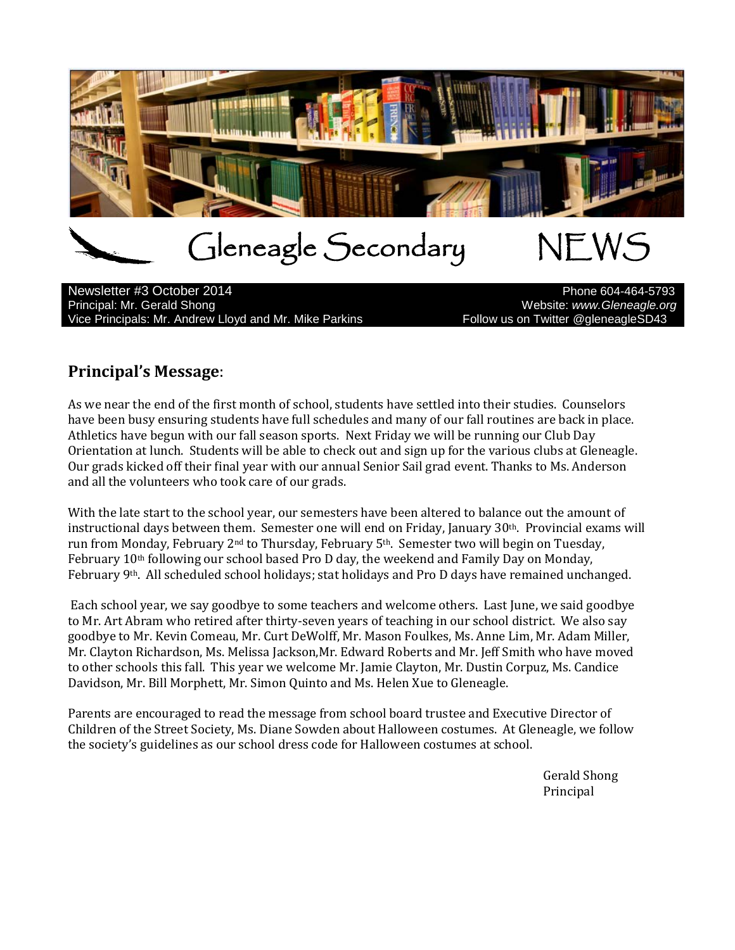

Newsletter #3 October 2014<br>Principal: Mr. Gerald Shong Vice Principals: Mr. Andrew Lloyd and Mr. Mike Parkins Follow us on Twitter @gleneagleSD43

Website: www.Gleneagle.org

#### **Principal's Message**:

As we near the end of the first month of school, students have settled into their studies. Counselors have been busy ensuring students have full schedules and many of our fall routines are back in place. Athletics have begun with our fall season sports. Next Friday we will be running our Club Day Orientation at lunch. Students will be able to check out and sign up for the various clubs at Gleneagle. Our grads kicked off their final year with our annual Senior Sail grad event. Thanks to Ms. Anderson and all the volunteers who took care of our grads.

With the late start to the school year, our semesters have been altered to balance out the amount of instructional days between them. Semester one will end on Friday, January  $30<sup>th</sup>$ . Provincial exams will run from Monday, February 2nd to Thursday, February 5th. Semester two will begin on Tuesday, February 10th following our school based Pro D day, the weekend and Family Day on Monday, February 9th. All scheduled school holidays; stat holidays and Pro D days have remained unchanged.

Each school year, we say goodbye to some teachers and welcome others. Last June, we said goodbye to Mr. Art Abram who retired after thirty-seven years of teaching in our school district. We also say goodbye to Mr. Kevin Comeau, Mr. Curt DeWolff, Mr. Mason Foulkes, Ms. Anne Lim, Mr. Adam Miller, Mr. Clayton Richardson, Ms. Melissa Jackson,Mr. Edward Roberts and Mr. Jeff Smith who have moved to other schools this fall. This year we welcome Mr. Jamie Clayton, Mr. Dustin Corpuz, Ms. Candice Davidson, Mr. Bill Morphett, Mr. Simon Quinto and Ms. Helen Xue to Gleneagle.

Parents are encouraged to read the message from school board trustee and Executive Director of Children of the Street Society, Ms. Diane Sowden about Halloween costumes. At Gleneagle, we follow the society's guidelines as our school dress code for Halloween costumes at school.

> Gerald Shong Principal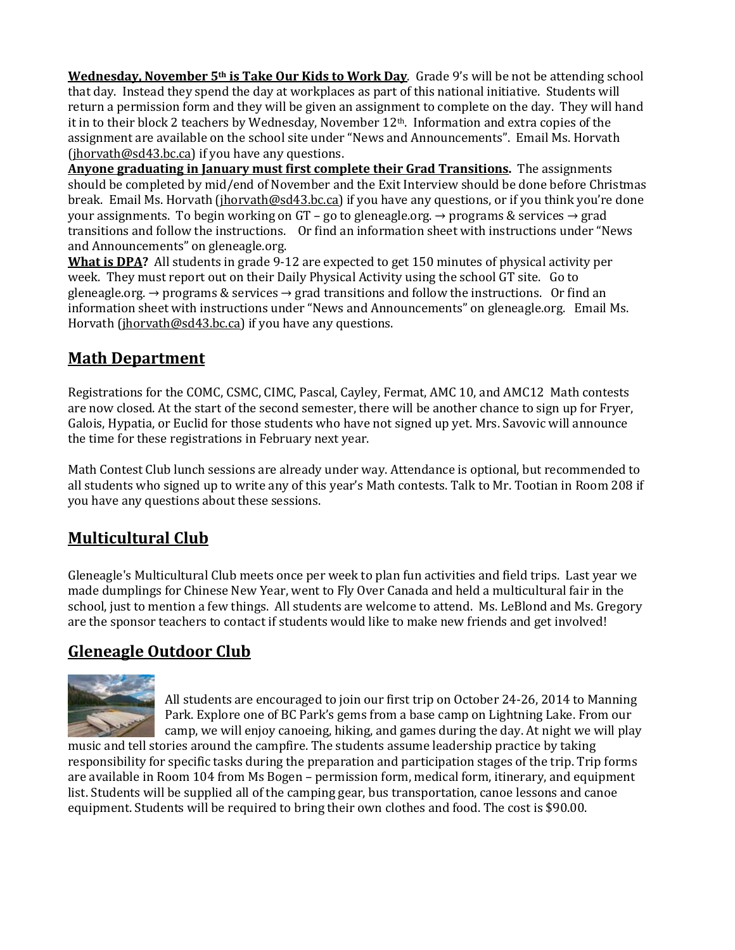**Wednesday, November 5th is Take Our Kids to Work Day**. Grade 9's will be not be attending school that day. Instead they spend the day at workplaces as part of this national initiative. Students will return a permission form and they will be given an assignment to complete on the day. They will hand it in to their block 2 teachers by Wednesday, November  $12<sup>th</sup>$ . Information and extra copies of the assignment are available on the school site under "News and Announcements". Email Ms. Horvath  $(ihorvath@sd43.bc.ca)$  if you have any questions.

**Anyone graduating in January must first complete their Grad Transitions.** The assignments should be completed by mid/end of November and the Exit Interview should be done before Christmas break. Email Ms. Horvath [\(jhorvath@sd43.bc.ca\)](mailto:jhorvath@sd43.bc.ca) if you have any questions, or if you think you're done your assignments. To begin working on GT – go to gleneagle.org.  $\rightarrow$  programs & services  $\rightarrow$  grad transitions and follow the instructions. Or find an information sheet with instructions under "News and Announcements" on gleneagle.org.

**What is DPA?** All students in grade 9-12 are expected to get 150 minutes of physical activity per week. They must report out on their Daily Physical Activity using the school GT site. Go to gleneagle.org.  $\rightarrow$  programs & services  $\rightarrow$  grad transitions and follow the instructions. Or find an information sheet with instructions under "News and Announcements" on gleneagle.org. Email Ms. Horvath [\(jhorvath@sd43.bc.ca\)](mailto:jhorvath@sd43.bc.ca) if you have any questions.

# **Math Department**

Registrations for the COMC, CSMC, CIMC, Pascal, Cayley, Fermat, AMC 10, and AMC12 Math contests are now closed. At the start of the second semester, there will be another chance to sign up for Fryer, Galois, Hypatia, or Euclid for those students who have not signed up yet. Mrs. Savovic will announce the time for these registrations in February next year.

Math Contest Club lunch sessions are already under way. Attendance is optional, but recommended to all students who signed up to write any of this year's Math contests. Talk to Mr. Tootian in Room 208 if you have any questions about these sessions.

# **Multicultural Club**

Gleneagle's Multicultural Club meets once per week to plan fun activities and field trips. Last year we made dumplings for Chinese New Year, went to Fly Over Canada and held a multicultural fair in the school, just to mention a few things. All students are welcome to attend. Ms. LeBlond and Ms. Gregory are the sponsor teachers to contact if students would like to make new friends and get involved!

# **Gleneagle Outdoor Club**



All students are encouraged to join our first trip on October 24-26, 2014 to Manning Park. Explore one of BC Park's gems from a base camp on Lightning Lake. From our camp, we will enjoy canoeing, hiking, and games during the day. At night we will play

music and tell stories around the campfire. The students assume leadership practice by taking responsibility for specific tasks during the preparation and participation stages of the trip. Trip forms are available in Room 104 from Ms Bogen – permission form, medical form, itinerary, and equipment list. Students will be supplied all of the camping gear, bus transportation, canoe lessons and canoe equipment. Students will be required to bring their own clothes and food. The cost is \$90.00.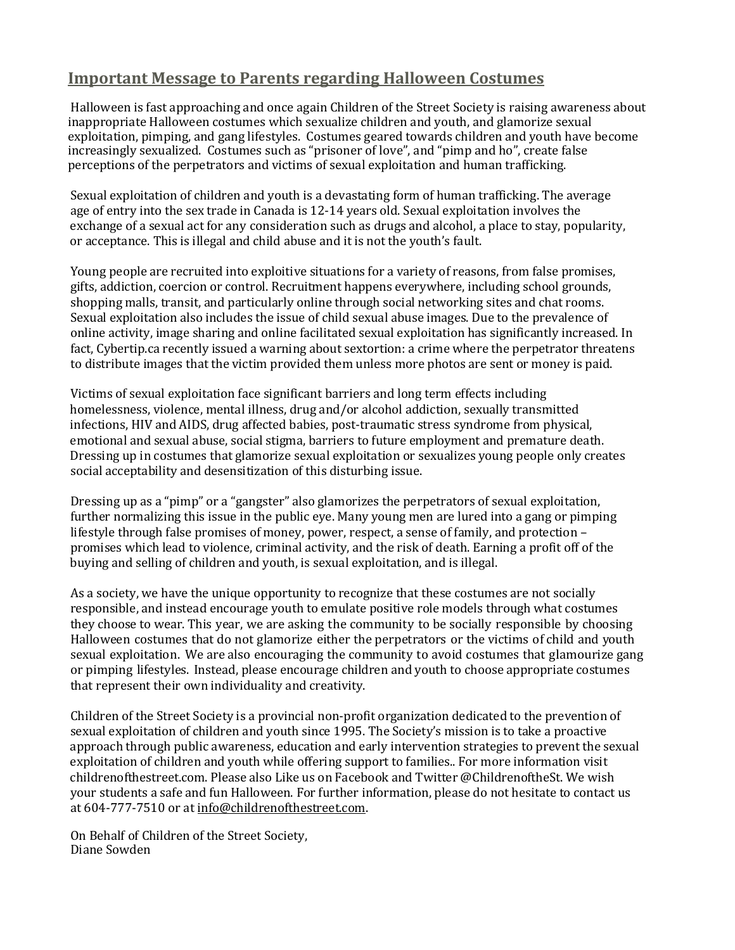#### **Important Message to Parents regarding Halloween Costumes**

Halloween is fast approaching and once again Children of the Street Society is raising awareness about inappropriate Halloween costumes which sexualize children and youth, and glamorize sexual exploitation, pimping, and gang lifestyles. Costumes geared towards children and youth have become increasingly sexualized. Costumes such as "prisoner of love", and "pimp and ho", create false perceptions of the perpetrators and victims of sexual exploitation and human trafficking.

Sexual exploitation of children and youth is a devastating form of human trafficking. The average age of entry into the sex trade in Canada is 12-14 years old. Sexual exploitation involves the exchange of a sexual act for any consideration such as drugs and alcohol, a place to stay, popularity, or acceptance. This is illegal and child abuse and it is not the youth's fault.

Young people are recruited into exploitive situations for a variety of reasons, from false promises, gifts, addiction, coercion or control. Recruitment happens everywhere, including school grounds, shopping malls, transit, and particularly online through social networking sites and chat rooms. Sexual exploitation also includes the issue of child sexual abuse images. Due to the prevalence of online activity, image sharing and online facilitated sexual exploitation has significantly increased. In fact, Cybertip.ca recently issued a warning about sextortion: a crime where the perpetrator threatens to distribute images that the victim provided them unless more photos are sent or money is paid.

Victims of sexual exploitation face significant barriers and long term effects including homelessness, violence, mental illness, drug and/or alcohol addiction, sexually transmitted infections, HIV and AIDS, drug affected babies, post-traumatic stress syndrome from physical, emotional and sexual abuse, social stigma, barriers to future employment and premature death. Dressing up in costumes that glamorize sexual exploitation or sexualizes young people only creates social acceptability and desensitization of this disturbing issue.

Dressing up as a "pimp" or a "gangster" also glamorizes the perpetrators of sexual exploitation, further normalizing this issue in the public eye. Many young men are lured into a gang or pimping lifestyle through false promises of money, power, respect, a sense of family, and protection – promises which lead to violence, criminal activity, and the risk of death. Earning a profit off of the buying and selling of children and youth, is sexual exploitation, and is illegal.

As a society, we have the unique opportunity to recognize that these costumes are not socially responsible, and instead encourage youth to emulate positive role models through what costumes they choose to wear. This year, we are asking the community to be socially responsible by choosing Halloween costumes that do not glamorize either the perpetrators or the victims of child and youth sexual exploitation. We are also encouraging the community to avoid costumes that glamourize gang or pimping lifestyles. Instead, please encourage children and youth to choose appropriate costumes that represent their own individuality and creativity.

Children of the Street Society is a provincial non-profit organization dedicated to the prevention of sexual exploitation of children and youth since 1995. The Society's mission is to take a proactive approach through public awareness, education and early intervention strategies to prevent the sexual exploitation of children and youth while offering support to families.. For more information visit childrenofthestreet.com. Please also Like us on Facebook and Twitter @ChildrenoftheSt. We wish your students a safe and fun Halloween. For further information, please do not hesitate to contact us at 604-777-7510 or a[t info@childrenofthestreet.com.](mailto:info@childrenofthestreet.com)

On Behalf of Children of the Street Society, Diane Sowden